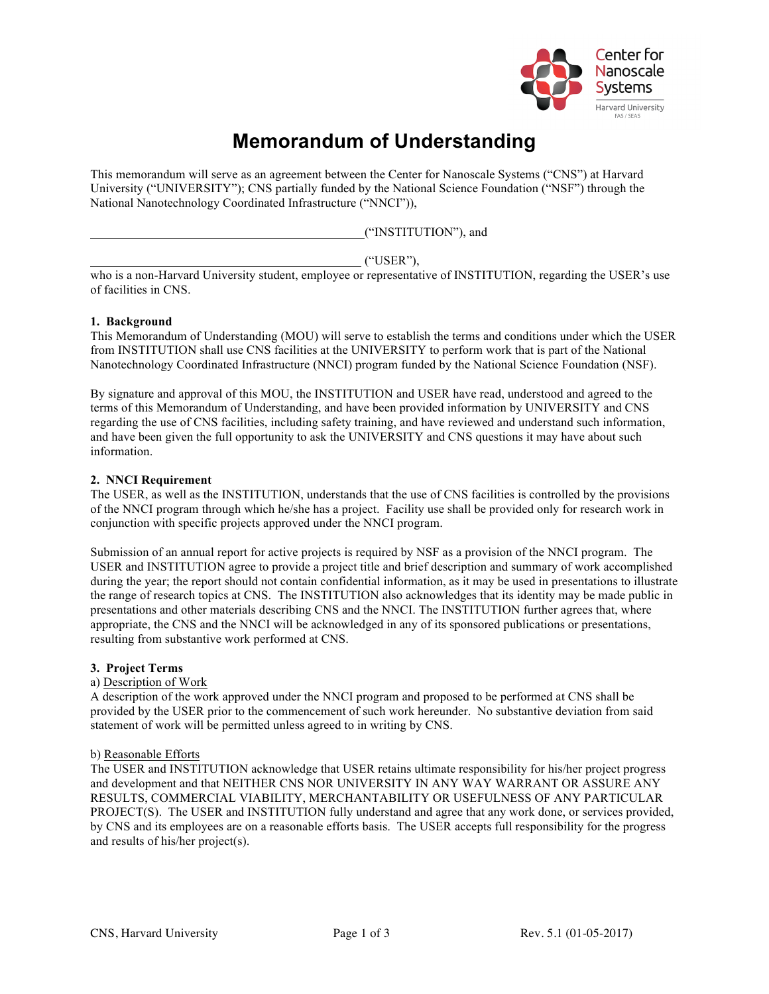

# **Memorandum of Understanding**

This memorandum will serve as an agreement between the Center for Nanoscale Systems ("CNS") at Harvard University ("UNIVERSITY"); CNS partially funded by the National Science Foundation ("NSF") through the National Nanotechnology Coordinated Infrastructure ("NNCI")),

("INSTITUTION"), and

("USER"),

who is a non-Harvard University student, employee or representative of INSTITUTION, regarding the USER's use of facilities in CNS.

## **1. Background**

This Memorandum of Understanding (MOU) will serve to establish the terms and conditions under which the USER from INSTITUTION shall use CNS facilities at the UNIVERSITY to perform work that is part of the National Nanotechnology Coordinated Infrastructure (NNCI) program funded by the National Science Foundation (NSF).

By signature and approval of this MOU, the INSTITUTION and USER have read, understood and agreed to the terms of this Memorandum of Understanding, and have been provided information by UNIVERSITY and CNS regarding the use of CNS facilities, including safety training, and have reviewed and understand such information, and have been given the full opportunity to ask the UNIVERSITY and CNS questions it may have about such information.

## **2. NNCI Requirement**

The USER, as well as the INSTITUTION, understands that the use of CNS facilities is controlled by the provisions of the NNCI program through which he/she has a project. Facility use shall be provided only for research work in conjunction with specific projects approved under the NNCI program.

Submission of an annual report for active projects is required by NSF as a provision of the NNCI program. The USER and INSTITUTION agree to provide a project title and brief description and summary of work accomplished during the year; the report should not contain confidential information, as it may be used in presentations to illustrate the range of research topics at CNS. The INSTITUTION also acknowledges that its identity may be made public in presentations and other materials describing CNS and the NNCI. The INSTITUTION further agrees that, where appropriate, the CNS and the NNCI will be acknowledged in any of its sponsored publications or presentations, resulting from substantive work performed at CNS.

#### **3. Project Terms**

#### a) Description of Work

A description of the work approved under the NNCI program and proposed to be performed at CNS shall be provided by the USER prior to the commencement of such work hereunder. No substantive deviation from said statement of work will be permitted unless agreed to in writing by CNS.

#### b) Reasonable Efforts

The USER and INSTITUTION acknowledge that USER retains ultimate responsibility for his/her project progress and development and that NEITHER CNS NOR UNIVERSITY IN ANY WAY WARRANT OR ASSURE ANY RESULTS, COMMERCIAL VIABILITY, MERCHANTABILITY OR USEFULNESS OF ANY PARTICULAR PROJECT(S). The USER and INSTITUTION fully understand and agree that any work done, or services provided, by CNS and its employees are on a reasonable efforts basis. The USER accepts full responsibility for the progress and results of his/her project(s).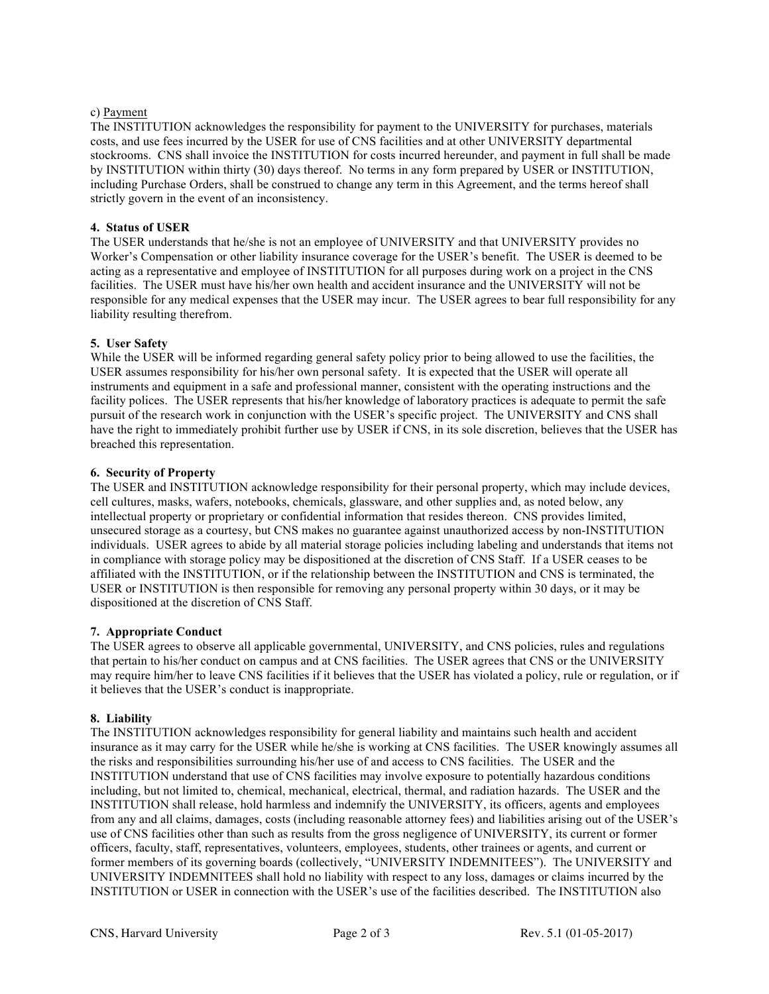## c) Payment

The INSTITUTION acknowledges the responsibility for payment to the UNIVERSITY for purchases, materials costs, and use fees incurred by the USER for use of CNS facilities and at other UNIVERSITY departmental stockrooms. CNS shall invoice the INSTITUTION for costs incurred hereunder, and payment in full shall be made by INSTITUTION within thirty (30) days thereof. No terms in any form prepared by USER or INSTITUTION, including Purchase Orders, shall be construed to change any term in this Agreement, and the terms hereof shall strictly govern in the event of an inconsistency.

# **4. Status of USER**

The USER understands that he/she is not an employee of UNIVERSITY and that UNIVERSITY provides no Worker's Compensation or other liability insurance coverage for the USER's benefit. The USER is deemed to be acting as a representative and employee of INSTITUTION for all purposes during work on a project in the CNS facilities. The USER must have his/her own health and accident insurance and the UNIVERSITY will not be responsible for any medical expenses that the USER may incur. The USER agrees to bear full responsibility for any liability resulting therefrom.

## **5. User Safety**

While the USER will be informed regarding general safety policy prior to being allowed to use the facilities, the USER assumes responsibility for his/her own personal safety. It is expected that the USER will operate all instruments and equipment in a safe and professional manner, consistent with the operating instructions and the facility polices. The USER represents that his/her knowledge of laboratory practices is adequate to permit the safe pursuit of the research work in conjunction with the USER's specific project. The UNIVERSITY and CNS shall have the right to immediately prohibit further use by USER if CNS, in its sole discretion, believes that the USER has breached this representation.

## **6. Security of Property**

The USER and INSTITUTION acknowledge responsibility for their personal property, which may include devices, cell cultures, masks, wafers, notebooks, chemicals, glassware, and other supplies and, as noted below, any intellectual property or proprietary or confidential information that resides thereon. CNS provides limited, unsecured storage as a courtesy, but CNS makes no guarantee against unauthorized access by non-INSTITUTION individuals. USER agrees to abide by all material storage policies including labeling and understands that items not in compliance with storage policy may be dispositioned at the discretion of CNS Staff. If a USER ceases to be affiliated with the INSTITUTION, or if the relationship between the INSTITUTION and CNS is terminated, the USER or INSTITUTION is then responsible for removing any personal property within 30 days, or it may be dispositioned at the discretion of CNS Staff.

# **7. Appropriate Conduct**

The USER agrees to observe all applicable governmental, UNIVERSITY, and CNS policies, rules and regulations that pertain to his/her conduct on campus and at CNS facilities. The USER agrees that CNS or the UNIVERSITY may require him/her to leave CNS facilities if it believes that the USER has violated a policy, rule or regulation, or if it believes that the USER's conduct is inappropriate.

#### **8. Liability**

The INSTITUTION acknowledges responsibility for general liability and maintains such health and accident insurance as it may carry for the USER while he/she is working at CNS facilities. The USER knowingly assumes all the risks and responsibilities surrounding his/her use of and access to CNS facilities. The USER and the INSTITUTION understand that use of CNS facilities may involve exposure to potentially hazardous conditions including, but not limited to, chemical, mechanical, electrical, thermal, and radiation hazards. The USER and the INSTITUTION shall release, hold harmless and indemnify the UNIVERSITY, its officers, agents and employees from any and all claims, damages, costs (including reasonable attorney fees) and liabilities arising out of the USER's use of CNS facilities other than such as results from the gross negligence of UNIVERSITY, its current or former officers, faculty, staff, representatives, volunteers, employees, students, other trainees or agents, and current or former members of its governing boards (collectively, "UNIVERSITY INDEMNITEES"). The UNIVERSITY and UNIVERSITY INDEMNITEES shall hold no liability with respect to any loss, damages or claims incurred by the INSTITUTION or USER in connection with the USER's use of the facilities described. The INSTITUTION also